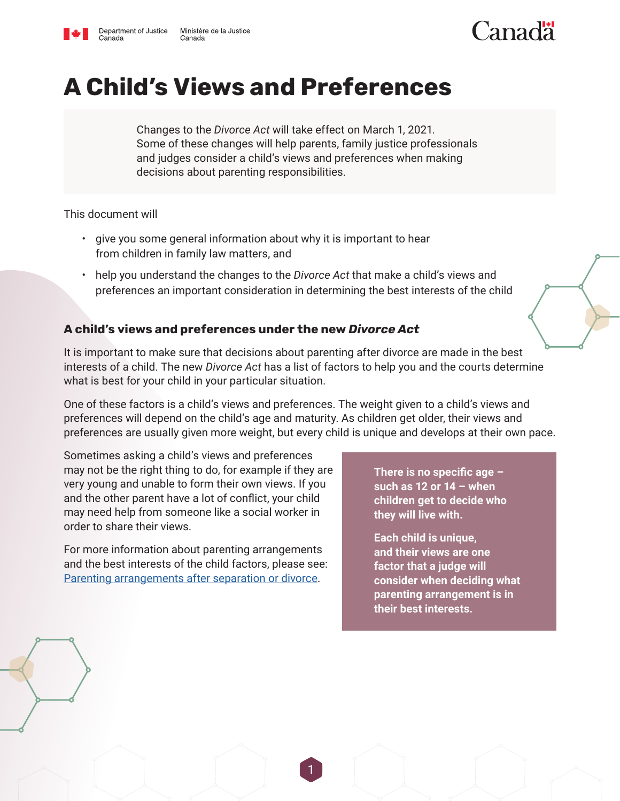

# Canadä

## **A Child's Views and Preferences**

Changes to the *Divorce Act* will take effect on March 1, 2021. Some of these changes will help parents, family justice professionals and judges consider a child's views and preferences when making decisions about parenting responsibilities.

This document will

- give you some general information about why it is important to hear from children in family law matters, and
- help you understand the changes to the *Divorce Act* that make a child's views and preferences an important consideration in determining the best interests of the child

### **A child's views and preferences under the new** *Divorce Act*

It is important to make sure that decisions about parenting after divorce are made in the best interests of a child. The new *Divorce Act* has a list of factors to help you and the courts determine what is best for your child in your particular situation.

One of these factors is a child's views and preferences. The weight given to a child's views and preferences will depend on the child's age and maturity. As children get older, their views and preferences are usually given more weight, but every child is unique and develops at their own pace.

Sometimes asking a child's views and preferences may not be the right thing to do, for example if they are very young and unable to form their own views. If you and the other parent have a lot of conflict, your child may need help from someone like a social worker in order to share their views.

For more information about parenting arrangements and the best interests of the child factors, please see: [Parenting arrangements after separation or divorce.](https://www.justice.gc.ca/eng/fl-df/fact-fiches.html)

**There is no specific age – such as 12 or 14 – when children get to decide who they will live with.** 

**Each child is unique, and their views are one factor that a judge will consider when deciding what parenting arrangement is in their best interests.** 

1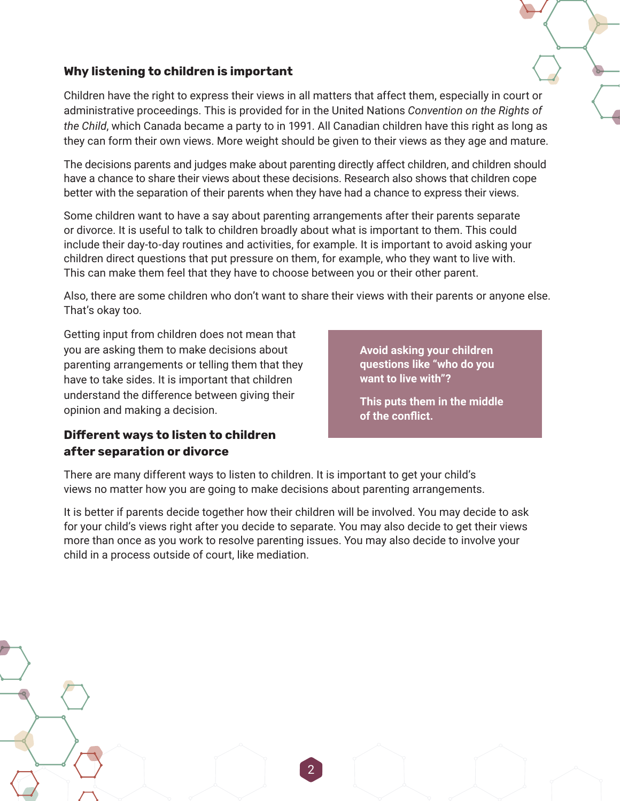## **Why listening to children is important**

Children have the right to express their views in all matters that affect them, especially in court or administrative proceedings. This is provided for in the United Nations *Convention on the Rights of the Child*, which Canada became a party to in 1991. All Canadian children have this right as long as they can form their own views. More weight should be given to their views as they age and mature.

The decisions parents and judges make about parenting directly affect children, and children should have a chance to share their views about these decisions. Research also shows that children cope better with the separation of their parents when they have had a chance to express their views.

Some children want to have a say about parenting arrangements after their parents separate or divorce. It is useful to talk to children broadly about what is important to them. This could include their day-to-day routines and activities, for example. It is important to avoid asking your children direct questions that put pressure on them, for example, who they want to live with. This can make them feel that they have to choose between you or their other parent.

Also, there are some children who don't want to share their views with their parents or anyone else. That's okay too.

Getting input from children does not mean that you are asking them to make decisions about parenting arrangements or telling them that they have to take sides. It is important that children understand the difference between giving their opinion and making a decision.

**Avoid asking your children questions like "who do you want to live with"?**

**This puts them in the middle of the conflict.**

### **Different ways to listen to children after separation or divorce**

There are many different ways to listen to children. It is important to get your child's views no matter how you are going to make decisions about parenting arrangements.

It is better if parents decide together how their children will be involved. You may decide to ask for your child's views right after you decide to separate. You may also decide to get their views more than once as you work to resolve parenting issues. You may also decide to involve your child in a process outside of court, like mediation.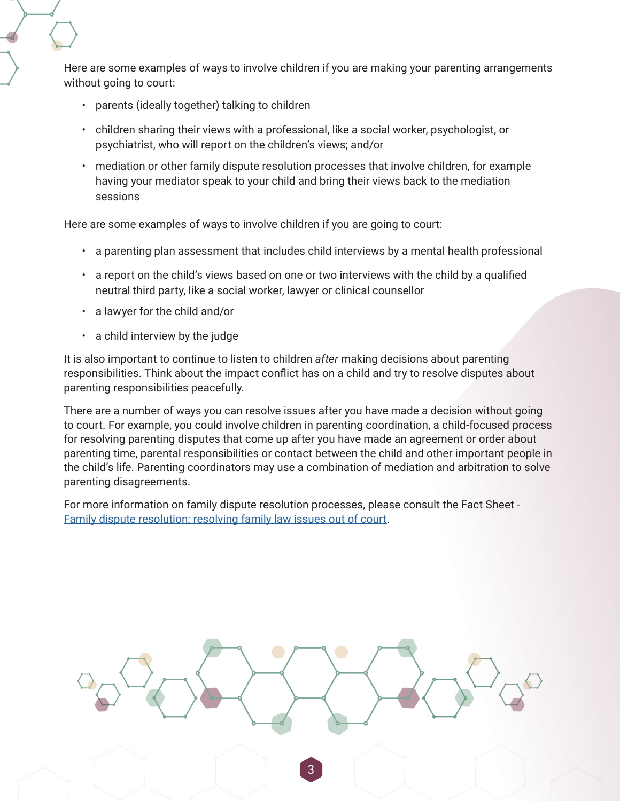Here are some examples of ways to involve children if you are making your parenting arrangements without going to court:

- parents (ideally together) talking to children
- children sharing their views with a professional, like a social worker, psychologist, or psychiatrist, who will report on the children's views; and/or
- mediation or other family dispute resolution processes that involve children, for example having your mediator speak to your child and bring their views back to the mediation sessions

Here are some examples of ways to involve children if you are going to court:

- a parenting plan assessment that includes child interviews by a mental health professional
- a report on the child's views based on one or two interviews with the child by a qualified neutral third party, like a social worker, lawyer or clinical counsellor
- a lawyer for the child and/or
- a child interview by the judge

It is also important to continue to listen to children *after* making decisions about parenting responsibilities. Think about the impact conflict has on a child and try to resolve disputes about parenting responsibilities peacefully.

There are a number of ways you can resolve issues after you have made a decision without going to court. For example, you could involve children in parenting coordination, a child-focused process for resolving parenting disputes that come up after you have made an agreement or order about parenting time, parental responsibilities or contact between the child and other important people in the child's life. Parenting coordinators may use a combination of mediation and arbitration to solve parenting disagreements.

For more information on family dispute resolution processes, please consult the Fact Sheet - [Family dispute resolution: resolving family law issues out of court](https://www.justice.gc.ca/eng/fl-df/fsfdr-firdf.html).